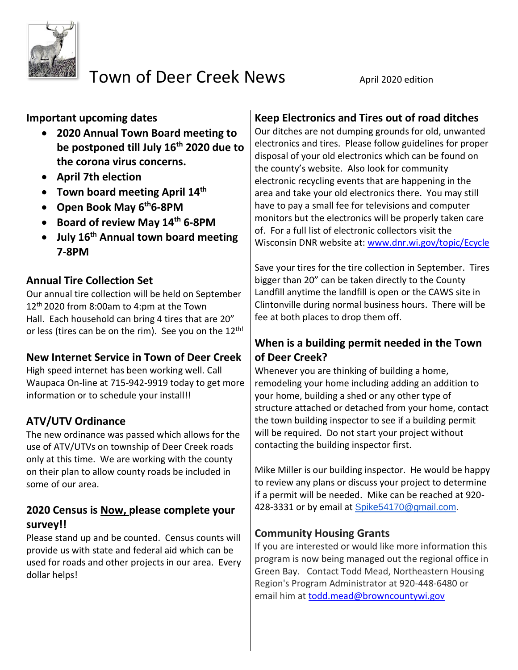

# Town of Deer Creek News April 2020 edition

**Important upcoming dates** 

- **2020 Annual Town Board meeting to be postponed till July 16th 2020 due to the corona virus concerns.**
- **April 7th election**
- **Town board meeting April 14th**
- **Open Book May 6th6-8PM**
- **Board of review May 14th 6-8PM**
- **July 16th Annual town board meeting 7-8PM**

### **Annual Tire Collection Set**

Our annual tire collection will be held on September 12 th 2020 from 8:00am to 4:pm at the Town Hall. Each household can bring 4 tires that are 20" or less (tires can be on the rim). See you on the 12<sup>th!</sup>

#### **New Internet Service in Town of Deer Creek**

High speed internet has been working well. Call Waupaca On-line at 715-942-9919 today to get more information or to schedule your install!!

# **ATV/UTV Ordinance**

The new ordinance was passed which allows for the use of ATV/UTVs on township of Deer Creek roads only at this time. We are working with the county on their plan to allow county roads be included in some of our area.

#### **2020 Census is Now, please complete your survey!!**

Please stand up and be counted. Census counts will provide us with state and federal aid which can be used for roads and other projects in our area. Every dollar helps!

# **Keep Electronics and Tires out of road ditches**

Our ditches are not dumping grounds for old, unwanted electronics and tires. Please follow guidelines for proper disposal of your old electronics which can be found on the county's website. Also look for community electronic recycling events that are happening in the area and take your old electronics there. You may still have to pay a small fee for televisions and computer monitors but the electronics will be properly taken care of. For a full list of electronic collectors visit the Wisconsin DNR website at: [www.dnr.wi.gov/topic/Ecycle](http://www.dnr.wi.gov/topic/Ecycle/)

Save your tires for the tire collection in September. Tires bigger than 20" can be taken directly to the County Landfill anytime the landfill is open or the CAWS site in Clintonville during normal business hours. There will be fee at both places to drop them off.

# **When is a building permit needed in the Town of Deer Creek?**

Whenever you are thinking of building a home, remodeling your home including adding an addition to your home, building a shed or any other type of structure attached or detached from your home, contact the town building inspector to see if a building permit will be required. Do not start your project without contacting the building inspector first.

Mike Miller is our building inspector. He would be happy to review any plans or discuss your project to determine if a permit will be needed. Mike can be reached at 920- 428-3331 or by email at [Spike54170@gmail.com.](mailto:Spike54170@gmail.com)

#### **Community Housing Grants**

If you are interested or would like more information this program is now being managed out the regional office in Green Bay. Contact Todd Mead, Northeastern Housing Region's Program Administrator at 920-448-6480 or email him at [todd.mead@browncountywi.gov](mailto:todd.mead@browncountywi.gov)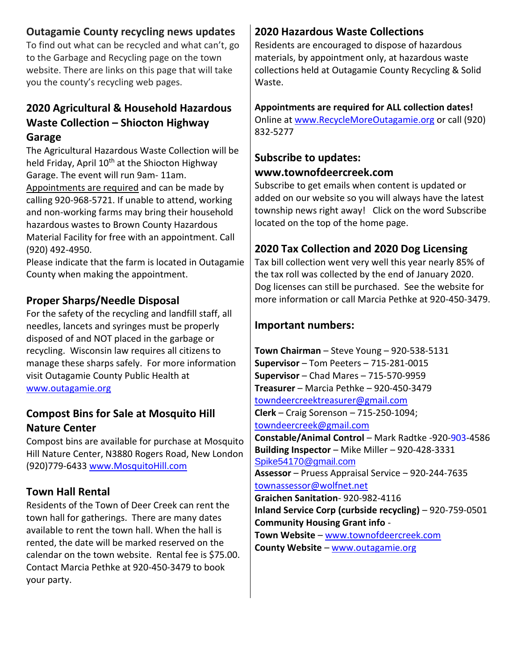#### **Outagamie County recycling news updates**

To find out what can be recycled and what can't, go to the Garbage and Recycling page on the town website. There are links on this page that will take you the county's recycling web pages.

#### **2020 Agricultural & Household Hazardous Waste Collection – Shiocton Highway Garage**

The Agricultural Hazardous Waste Collection will be held Friday, April 10<sup>th</sup> at the Shiocton Highway Garage. The event will run 9am- 11am. Appointments are required and can be made by calling 920-968-5721. If unable to attend, working and non-working farms may bring their household hazardous wastes to Brown County Hazardous Material Facility for free with an appointment. Call (920) 492-4950.

Please indicate that the farm is located in Outagamie County when making the appointment.

#### **Proper Sharps/Needle Disposal**

For the safety of the recycling and landfill staff, all needles, lancets and syringes must be properly disposed of and NOT placed in the garbage or recycling. Wisconsin law requires all citizens to manage these sharps safely. For more information visit Outagamie County Public Health at [www.outagamie.org](http://www.outagamie.org/) 

#### **Compost Bins for Sale at Mosquito Hill Nature Center**

Compost bins are available for purchase at Mosquito Hill Nature Center, N3880 Rogers Road, New London (920)779-6433 [www.MosquitoHill.com](http://www.mosquitohill.com/)

#### **Town Hall Rental**

Residents of the Town of Deer Creek can rent the town hall for gatherings. There are many dates available to rent the town hall. When the hall is rented, the date will be marked reserved on the calendar on the town website. Rental fee is \$75.00. Contact Marcia Pethke at 920-450-3479 to book your party.

### **2020 Hazardous Waste Collections**

Residents are encouraged to dispose of hazardous materials, by appointment only, at hazardous waste collections held at Outagamie County Recycling & Solid Waste.

#### **Appointments are required for ALL collection dates!**

Online at [www.RecycleMoreOutagamie.org](http://www.recyclemoreoutagamie.org/) or call (920) 832-5277

#### **Subscribe to updates: www.townofdeercreek.com**

Subscribe to get emails when content is updated or added on our website so you will always have the latest township news right away! Click on the word Subscribe located on the top of the home page.

### **2020 Tax Collection and 2020 Dog Licensing**

Tax bill collection went very well this year nearly 85% of the tax roll was collected by the end of January 2020. Dog licenses can still be purchased. See the website for more information or call Marcia Pethke at 920-450-3479.

#### **Important numbers:**

**Town Chairman** – Steve Young – 920-538-5131 **Supervisor** – Tom Peeters – 715-281-0015 **Supervisor** – Chad Mares – 715-570-9959 **Treasurer** – Marcia Pethke – 920-450-3479 [towndeercreektreasurer@gmail.com](mailto:towndeercreektreasurer@gmail.com) **Clerk** – Craig Sorenson – 715-250-1094; [towndeercreek@gmail.com](mailto:towndeercreek@gmail.com) **Constable/Animal Control** – Mark Radtke -920-903-4586 **Building Inspector** – Mike Miller – 920-428-3331 [Spike54170@gmail.com](mailto:Spike54170@gmail.com) **Assessor** – Pruess Appraisal Service – 920-244-7635 townassessor@wolfnet.net **Graichen Sanitation**- 920-982-4116 **Inland Service Corp (curbside recycling)** – 920-759-0501 **Community Housing Grant info** - **Town Website** – [www.townofdeercreek.com](http://www.townofdeercreek.com/) **County Website** – [www.outagamie.org](http://www.outagamie.org/)